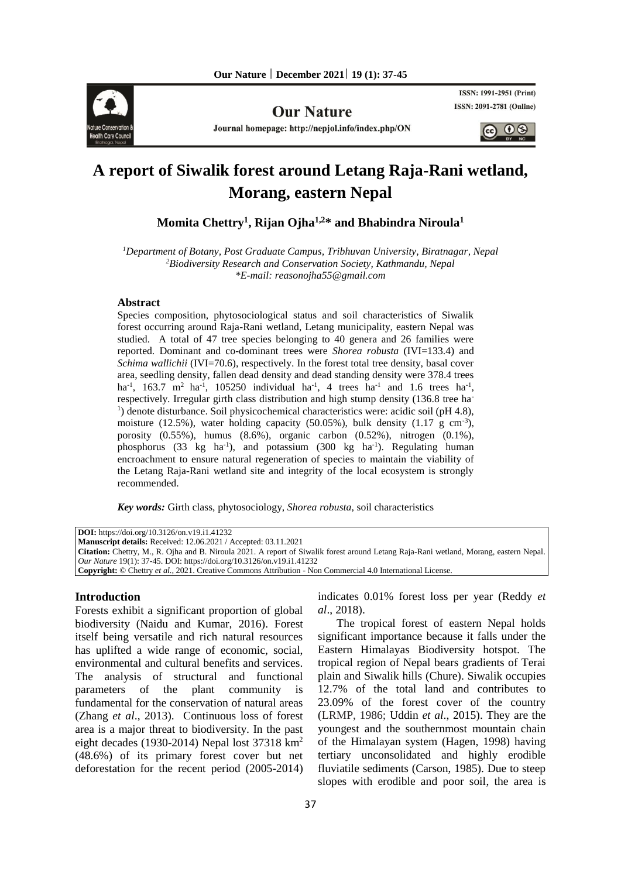

**Our Nature** 

Journal homepage: http://nepjol.info/index.php/ON

ISSN: 1991-2951 (Print) **ISSN: 2091-2781 (Online)** 

 $\circledcirc$   $\circledcirc$ 

# **A report of Siwalik forest around Letang Raja-Rani wetland, Morang, eastern Nepal**

**Momita Chettry<sup>1</sup> , Rijan Ojha1,2\* and Bhabindra Niroula<sup>1</sup>**

*<sup>1</sup>Department of Botany, Post Graduate Campus, Tribhuvan University, Biratnagar, Nepal <sup>2</sup>Biodiversity Research and Conservation Society, Kathmandu, Nepal \*E-mail: reasonojha55@gmail.com*

### **Abstract**

Species composition, phytosociological status and soil characteristics of Siwalik forest occurring around Raja-Rani wetland, Letang municipality, eastern Nepal was studied. A total of 47 tree species belonging to 40 genera and 26 families were reported. Dominant and co-dominant trees were *Shorea robusta* (IVI=133.4) and *Schima wallichii* (IVI=70.6), respectively. In the forest total tree density, basal cover area, seedling density, fallen dead density and dead standing density were 378.4 trees ha<sup>-1</sup>, 163.7 m<sup>2</sup> ha<sup>-1</sup>, 105250 individual ha<sup>-1</sup>, 4 trees ha<sup>-1</sup> and 1.6 trees ha<sup>-1</sup>, respectively. Irregular girth class distribution and high stump density (136.8 tree ha-<sup>1</sup>) denote disturbance. Soil physicochemical characteristics were: acidic soil (pH 4.8), moisture (12.5%), water holding capacity (50.05%), bulk density (1.17 g cm<sup>-3</sup>), porosity (0.55%), humus (8.6%), organic carbon (0.52%), nitrogen (0.1%), phosphorus  $(33 \text{ kg} \text{ ha}^{-1})$ , and potassium  $(300 \text{ kg} \text{ ha}^{-1})$ . Regulating human encroachment to ensure natural regeneration of species to maintain the viability of the Letang Raja-Rani wetland site and integrity of the local ecosystem is strongly recommended.

*Key words:* Girth class, phytosociology, *Shorea robusta*, soil characteristics

**DOI:** https://doi.org/10.3126/on.v19.i1.41232

**Manuscript details:** Received: 12.06.2021 / Accepted: 03.11.2021

**Citation:** Chettry, M., R. Ojha and B. Niroula 2021. A report of Siwalik forest around Letang Raja-Rani wetland, Morang, eastern Nepal. *Our Nature* 19(1): 37-45. DOI: https://doi.org/10.3126/on.v19.i1.41232

**Copyright:** © Chettry *et al.,* 2021. Creative Commons Attribution - Non Commercial 4.0 International License.

### **Introduction**

Forests exhibit a significant proportion of global biodiversity (Naidu and Kumar, 2016). Forest itself being versatile and rich natural resources has uplifted a wide range of economic, social, environmental and cultural benefits and services. The analysis of structural and functional parameters of the plant community is fundamental for the conservation of natural areas (Zhang *et al*., 2013). Continuous loss of forest area is a major threat to biodiversity. In the past eight decades (1930-2014) Nepal lost 37318 km<sup>2</sup> (48.6%) of its primary forest cover but net deforestation for the recent period (2005-2014) indicates 0.01% forest loss per year (Reddy *et al*., 2018).

The tropical forest of eastern Nepal holds significant importance because it falls under the Eastern Himalayas Biodiversity hotspot. The tropical region of Nepal bears gradients of Terai plain and Siwalik hills (Chure). Siwalik occupies 12.7% of the total land and contributes to 23.09% of the forest cover of the country (LRMP, 1986; Uddin *et al*., 2015). They are the youngest and the southernmost mountain chain of the Himalayan system (Hagen, 1998) having tertiary unconsolidated and highly erodible fluviatile sediments (Carson, 1985). Due to steep slopes with erodible and poor soil, the area is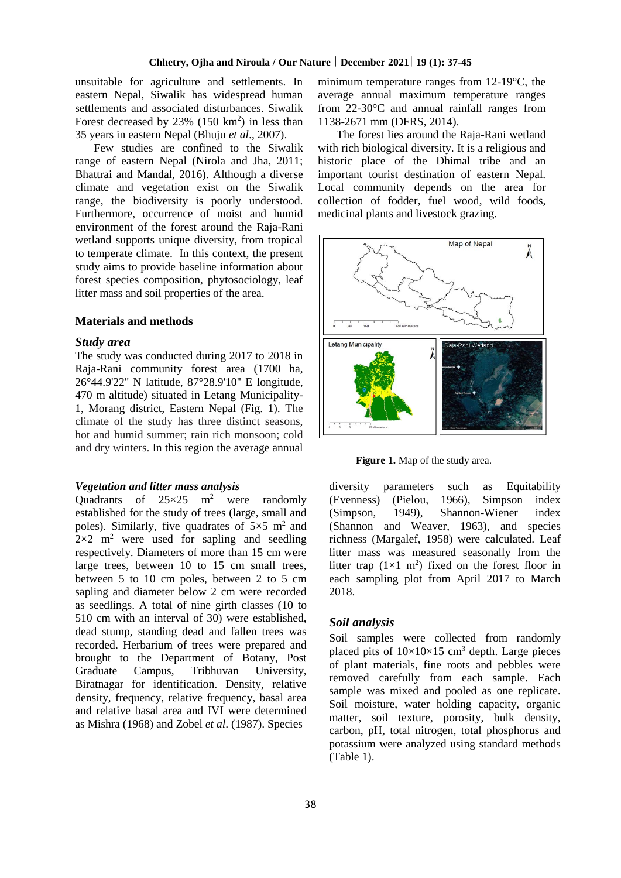unsuitable for agriculture and settlements. In eastern Nepal, Siwalik has widespread human settlements and associated disturbances. Siwalik Forest decreased by  $23\%$  (150 km<sup>2</sup>) in less than 35 years in eastern Nepal (Bhuju *et al*., 2007).

Few studies are confined to the Siwalik range of eastern Nepal (Nirola and Jha, 2011; Bhattrai and Mandal, 2016). Although a diverse climate and vegetation exist on the Siwalik range, the biodiversity is poorly understood. Furthermore, occurrence of moist and humid environment of the forest around the Raja-Rani wetland supports unique diversity, from tropical to temperate climate. In this context, the present study aims to provide baseline information about forest species composition, phytosociology, leaf litter mass and soil properties of the area.

### **Materials and methods**

### *Study area*

The study was conducted during 2017 to 2018 in Raja-Rani community forest area (1700 ha, 26°44.9'22'' N latitude, 87°28.9'10'' E longitude, 470 m altitude) situated in Letang Municipality-1, Morang district, Eastern Nepal (Fig. 1). The climate of the study has three distinct seasons, hot and humid summer; rain rich monsoon; cold and dry winters. In this region the average annual

### *Vegetation and litter mass analysis*

Quadrants of  $25\times25$  m<sup>2</sup> were randomly established for the study of trees (large, small and poles). Similarly, five quadrates of  $5\times 5$  m<sup>2</sup> and  $2\times2$  m<sup>2</sup> were used for sapling and seedling respectively. Diameters of more than 15 cm were large trees, between 10 to 15 cm small trees, between 5 to 10 cm poles, between 2 to 5 cm sapling and diameter below 2 cm were recorded as seedlings. A total of nine girth classes (10 to 510 cm with an interval of 30) were established, dead stump, standing dead and fallen trees was recorded. Herbarium of trees were prepared and brought to the Department of Botany, Post Graduate Campus, Tribhuvan University, Biratnagar for identification. Density, relative density, frequency, relative frequency, basal area and relative basal area and IVI were determined as Mishra (1968) and Zobel *et al*. (1987). Species

minimum temperature ranges from 12-19°C, the average annual maximum temperature ranges from 22-30°C and annual rainfall ranges from 1138-2671 mm (DFRS, 2014).

The forest lies around the Raja-Rani wetland with rich biological diversity. It is a religious and historic place of the Dhimal tribe and an important tourist destination of eastern Nepal. Local community depends on the area for collection of fodder, fuel wood, wild foods, medicinal plants and livestock grazing.



Figure 1. Map of the study area.

diversity parameters such as Equitability (Evenness) (Pielou, 1966), Simpson index (Simpson, 1949), Shannon-Wiener index (Shannon and Weaver, 1963), and species richness (Margalef, 1958) were calculated. Leaf litter mass was measured seasonally from the litter trap  $(1 \times 1 \text{ m}^2)$  fixed on the forest floor in each sampling plot from April 2017 to March 2018.

# *Soil analysis*

Soil samples were collected from randomly placed pits of  $10\times10\times15$  cm<sup>3</sup> depth. Large pieces of plant materials, fine roots and pebbles were removed carefully from each sample. Each sample was mixed and pooled as one replicate. Soil moisture, water holding capacity, organic matter, soil texture, porosity, bulk density, carbon, pH, total nitrogen, total phosphorus and potassium were analyzed using standard methods (Table 1).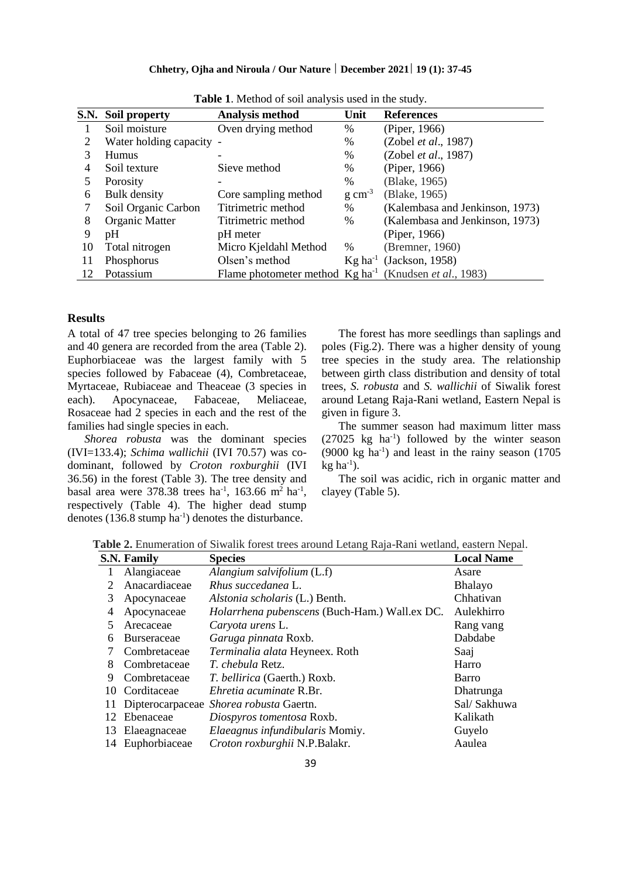|    | S.N. Soil property       | <b>Tuble 1:</b> Method of Boll and yold about in the blady.<br><b>Analysis method</b> | Unit                  | <b>References</b>               |
|----|--------------------------|---------------------------------------------------------------------------------------|-----------------------|---------------------------------|
|    | Soil moisture            | Oven drying method                                                                    | %                     | (Piper, 1966)                   |
| 2  | Water holding capacity - |                                                                                       | %                     | (Zobel et al., 1987)            |
| 3  | <b>Humus</b>             |                                                                                       | $\%$                  | (Zobel <i>et al.</i> , 1987)    |
| 4  | Soil texture             | Sieve method                                                                          | %                     | (Piper, 1966)                   |
| 5  | Porosity                 |                                                                                       | $\%$                  | (Blake, 1965)                   |
| 6  | Bulk density             | Core sampling method                                                                  | $g \text{ cm}^{-3}$   | (Blake, 1965)                   |
|    | Soil Organic Carbon      | Titrimetric method                                                                    | $\%$                  | (Kalembasa and Jenkinson, 1973) |
| 8  | Organic Matter           | Titrimetric method                                                                    | $\frac{0}{0}$         | (Kalembasa and Jenkinson, 1973) |
| 9  | pH                       | pH meter                                                                              |                       | (Piper, 1966)                   |
| 10 | Total nitrogen           | Micro Kjeldahl Method                                                                 | $\%$                  | (Bremner, 1960)                 |
| 11 | Phosphorus               | Olsen's method                                                                        | $Kg$ ha <sup>-1</sup> | (Jackson, 1958)                 |
| 12 | Potassium                | Flame photometer method $Kg$ ha <sup>-1</sup> (Knudsen <i>et al.</i> , 1983)          |                       |                                 |

**Table 1**. Method of soil analysis used in the study.

# **Results**

A total of 47 tree species belonging to 26 families and 40 genera are recorded from the area (Table 2). Euphorbiaceae was the largest family with 5 species followed by Fabaceae (4), Combretaceae, Myrtaceae, Rubiaceae and Theaceae (3 species in each). Apocynaceae, Fabaceae, Meliaceae, Rosaceae had 2 species in each and the rest of the families had single species in each.

*Shorea robusta* was the dominant species (IVI=133.4); *Schima wallichii* (IVI 70.57) was codominant, followed by *Croton roxburghii* (IVI 36.56) in the forest (Table 3). The tree density and basal area were 378.38 trees  $ha^{-1}$ , 163.66 m<sup>2</sup>  $ha^{-1}$ , respectively (Table 4). The higher dead stump denotes (136.8 stump ha<sup>-1</sup>) denotes the disturbance.

The forest has more seedlings than saplings and poles (Fig.2). There was a higher density of young tree species in the study area. The relationship between girth class distribution and density of total trees, *S. robusta* and *S. wallichii* of Siwalik forest around Letang Raja-Rani wetland, Eastern Nepal is given in figure 3.

The summer season had maximum litter mass  $(27025 \text{ kg} \text{ ha}^{-1})$  followed by the winter season  $(9000 \text{ kg} \text{ ha}^{-1})$  and least in the rainy season  $(1705 \text{ m})$  $kg$  ha<sup>-1</sup>).

The soil was acidic, rich in organic matter and clayey (Table 5).

**Table 2.** Enumeration of Siwalik forest trees around Letang Raja-Rani wetland, eastern Nepal.

|    | S.N. Family        | <b>Species</b>                                | <b>Local Name</b> |
|----|--------------------|-----------------------------------------------|-------------------|
|    | Alangiaceae        | Alangium salvifolium (L.f)                    | Asare             |
| 2  | Anacardiaceae      | Rhus succedanea L.                            | <b>Bhalayo</b>    |
| 3  | Apocynaceae        | Alstonia scholaris (L.) Benth.                | Chhativan         |
| 4  | Apocynaceae        | Holarrhena pubenscens (Buch-Ham.) Wall.ex DC. | Aulekhirro        |
| 5  | Arecaceae          | Caryota urens L.                              | Rang vang         |
| 6  | <b>Burseraceae</b> | Garuga pinnata Roxb.                          | Dabdabe           |
|    | Combretaceae       | Terminalia alata Heyneex. Roth                | Saaj              |
| 8  | Combretaceae       | T. chebula Retz.                              | Harro             |
| 9  | Combretaceae       | T. bellirica (Gaerth.) Roxb.                  | Barro             |
| 10 | Corditaceae        | <i>Ehretia acuminate</i> R.Br.                | Dhatrunga         |
| 11 |                    | Dipterocarpaceae Shorea robusta Gaertn.       | Sal/ Sakhuwa      |
| 12 | Ebenaceae          | Diospyros tomentosa Roxb.                     | Kalikath          |
| 13 | Elaeagnaceae       | Elaeagnus infundibularis Momiy.               | Guyelo            |
|    | 14 Euphorbiaceae   | Croton roxburghii N.P.Balakr.                 | Aaulea            |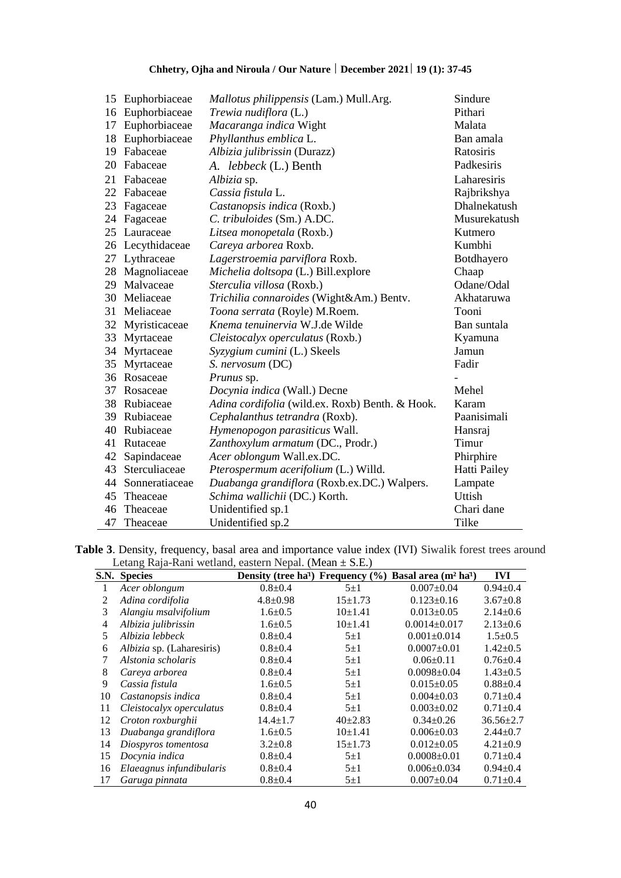| 15 | Euphorbiaceae  | Mallotus philippensis (Lam.) Mull.Arg.          | Sindure      |
|----|----------------|-------------------------------------------------|--------------|
| 16 | Euphorbiaceae  | Trewia nudiflora (L.)                           | Pithari      |
| 17 | Euphorbiaceae  | Macaranga indica Wight                          | Malata       |
| 18 | Euphorbiaceae  | Phyllanthus emblica L.                          | Ban amala    |
| 19 | Fabaceae       | Albizia julibrissin (Durazz)                    | Ratosiris    |
| 20 | Fabaceae       | A. <i>lebbeck</i> (L.) Benth                    | Padkesiris   |
| 21 | Fabaceae       | Albizia sp.                                     | Laharesiris  |
| 22 | Fabaceae       | Cassia fistula L.                               | Rajbrikshya  |
| 23 | Fagaceae       | Castanopsis indica (Roxb.)                      | Dhalnekatush |
| 24 | Fagaceae       | C. tribuloides (Sm.) A.DC.                      | Musurekatush |
| 25 | Lauraceae      | Litsea monopetala (Roxb.)                       | Kutmero      |
| 26 | Lecythidaceae  | Careya arborea Roxb.                            | Kumbhi       |
| 27 | Lythraceae     | Lagerstroemia parviflora Roxb.                  | Botdhayero   |
| 28 | Magnoliaceae   | Michelia doltsopa (L.) Bill.explore             | Chaap        |
| 29 | Malvaceae      | Sterculia villosa (Roxb.)                       | Odane/Odal   |
| 30 | Meliaceae      | Trichilia connaroides (Wight&Am.) Bentv.        | Akhataruwa   |
| 31 | Meliaceae      | Toona serrata (Royle) M.Roem.                   | Tooni        |
| 32 | Myristicaceae  | <i>Knema tenuinervia</i> W.J.de Wilde           | Ban suntala  |
| 33 | Myrtaceae      | Cleistocalyx operculatus (Roxb.)                | Kyamuna      |
| 34 | Myrtaceae      | Syzygium cumini (L.) Skeels                     | Jamun        |
| 35 | Myrtaceae      | S. nervosum (DC)                                | Fadir        |
| 36 | Rosaceae       | Prunus sp.                                      |              |
| 37 | Rosaceae       | Docynia indica (Wall.) Decne                    | Mehel        |
| 38 | Rubiaceae      | Adina cordifolia (wild.ex. Roxb) Benth. & Hook. | Karam        |
| 39 | Rubiaceae      | Cephalanthus tetrandra (Roxb).                  | Paanisimali  |
| 40 | Rubiaceae      | Hymenopogon parasiticus Wall.                   | Hansraj      |
| 41 | Rutaceae       | Zanthoxylum armatum (DC., Prodr.)               | Timur        |
| 42 | Sapindaceae    | Acer oblongum Wall.ex.DC.                       | Phirphire    |
| 43 | Sterculiaceae  | Pterospermum acerifolium (L.) Willd.            | Hatti Pailey |
| 44 | Sonneratiaceae | Duabanga grandiflora (Roxb.ex.DC.) Walpers.     | Lampate      |
| 45 | Theaceae       | Schima wallichii (DC.) Korth.                   | Uttish       |
| 46 | Theaceae       | Unidentified sp.1                               | Chari dane   |
| 47 | Theaceae       | Unidentified sp.2                               | Tilke        |

**Table 3**. Density, frequency, basal area and importance value index (IVI) Siwalik forest trees around Letang Raja-Rani wetland, eastern Nepal. (Mean  $\pm$  S.E.)

|    | S.N. Species              | Density (tree ha <sup>1</sup> ) Frequency $(\% )$ |              | Basal area $(m^2 ha^1)$ | <b>IVI</b>      |
|----|---------------------------|---------------------------------------------------|--------------|-------------------------|-----------------|
|    | Acer oblongum             | $0.8 + 0.4$                                       | $5\pm1$      | $0.007 \pm 0.04$        | $0.94 \pm 0.4$  |
| 2  | Adina cordifolia          | $4.8 \pm 0.98$                                    | $15 + 1.73$  | $0.123 \pm 0.16$        | $3.67 \pm 0.8$  |
| 3  | Alangiu msalvifolium      | $1.6 \pm 0.5$                                     | $10+1.41$    | $0.013 \pm 0.05$        | $2.14 \pm 0.6$  |
| 4  | Albizia julibrissin       | $1.6 \pm 0.5$                                     | $10+1.41$    | $0.0014 \pm 0.017$      | $2.13 \pm 0.6$  |
| 5  | Albizia lebbeck           | $0.8 + 0.4$                                       | $5\pm1$      | $0.001 \pm 0.014$       | $1.5 \pm 0.5$   |
| 6  | Albizia sp. (Laharesiris) | $0.8 + 0.4$                                       | $5\pm1$      | $0.0007 \pm 0.01$       | $1.42 \pm 0.5$  |
| 7  | Alstonia scholaris        | $0.8 + 0.4$                                       | $5\pm1$      | $0.06 \pm 0.11$         | $0.76 \pm 0.4$  |
| 8  | Careva arborea            | $0.8 + 0.4$                                       | $5\pm1$      | $0.0098 \pm 0.04$       | $1.43 \pm 0.5$  |
| 9  | Cassia fistula            | $1.6 \pm 0.5$                                     | $5\pm1$      | $0.015 \pm 0.05$        | $0.88 + 0.4$    |
| 10 | Castanopsis indica        | $0.8 + 0.4$                                       | $5\pm1$      | $0.004 \pm 0.03$        | $0.71 \pm 0.4$  |
| 11 | Cleistocalyx operculatus  | $0.8 + 0.4$                                       | $5\pm1$      | $0.003 \pm 0.02$        | $0.71 \pm 0.4$  |
| 12 | Croton roxburghii         | $14.4 \pm 1.7$                                    | $40\pm 2.83$ | $0.34 \pm 0.26$         | $36.56 \pm 2.7$ |
| 13 | Duabanga grandiflora      | $1.6 \pm 0.5$                                     | $10+1.41$    | $0.006 \pm 0.03$        | $2.44 \pm 0.7$  |
| 14 | Diospyros tomentosa       | $3.2 \pm 0.8$                                     | $15 + 1.73$  | $0.012 \pm 0.05$        | $4.21 \pm 0.9$  |
| 15 | Docynia indica            | $0.8 + 0.4$                                       | $5\pm1$      | $0.0008 \pm 0.01$       | $0.71 \pm 0.4$  |
| 16 | Elaeagnus infundibularis  | $0.8 + 0.4$                                       | $5\pm1$      | $0.006 \pm 0.034$       | $0.94 \pm 0.4$  |
| 17 | Garuga pinnata            | $0.8 + 0.4$                                       | $5\pm1$      | $0.007 \pm 0.04$        | $0.71 \pm 0.4$  |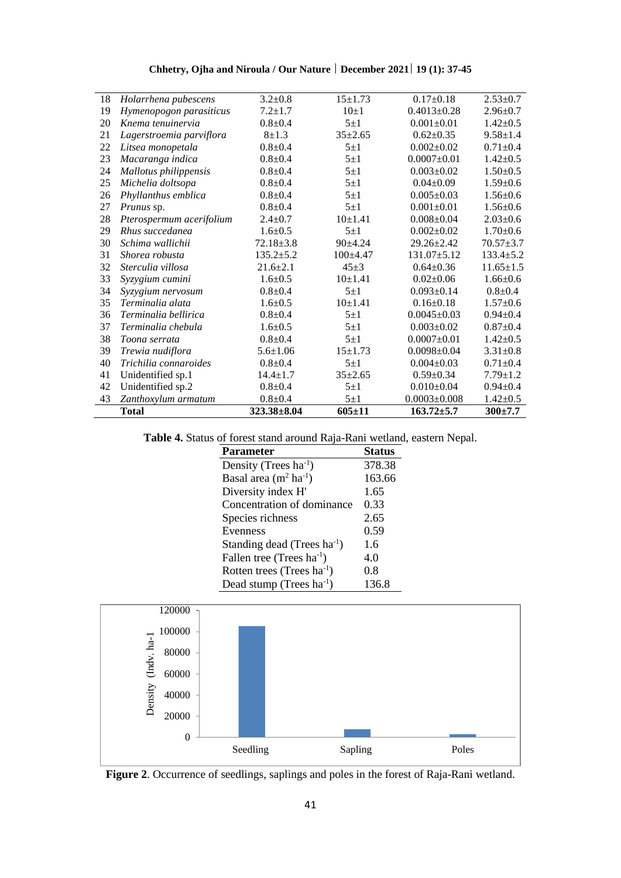|    |                          | $3.2 \pm 0.8$     | $15 + 1.73$  | $0.17 \pm 0.18$    | $2.53 \pm 0.7$  |
|----|--------------------------|-------------------|--------------|--------------------|-----------------|
| 18 | Holarrhena pubescens     |                   |              |                    |                 |
| 19 | Hymenopogon parasiticus  | $7.2 + 1.7$       | $10\pm1$     | $0.4013 \pm 0.28$  | $2.96 \pm 0.7$  |
| 20 | Knema tenuinervia        | $0.8 + 0.4$       | $5 + 1$      | $0.001 \pm 0.01$   | $1.42 \pm 0.5$  |
| 21 | Lagerstroemia parviflora | $8 + 1.3$         | $35 + 2.65$  | $0.62 \pm 0.35$    | $9.58 \pm 1.4$  |
| 22 | Litsea monopetala        | $0.8 + 0.4$       | $5 + 1$      | $0.002 \pm 0.02$   | $0.71 + 0.4$    |
| 23 | Macaranga indica         | $0.8 + 0.4$       | $5 + 1$      | $0.0007 + 0.01$    | $1.42 \pm 0.5$  |
| 24 | Mallotus philippensis    | $0.8 + 0.4$       | $5\pm1$      | $0.003 \pm 0.02$   | $1.50 \pm 0.5$  |
| 25 | Michelia doltsopa        | $0.8 + 0.4$       | $5\pm1$      | $0.04 \pm 0.09$    | $1.59 \pm 0.6$  |
| 26 | Phyllanthus emblica      | $0.8 + 0.4$       | $5\pm1$      | $0.005 \pm 0.03$   | $1.56 \pm 0.6$  |
| 27 | <i>Prunus</i> sp.        | $0.8 + 0.4$       | $5\pm1$      | $0.001 \pm 0.01$   | $1.56 \pm 0.6$  |
| 28 | Pterospermum acerifolium | $2.4 \pm 0.7$     | $10+1.41$    | $0.008 \pm 0.04$   | $2.03 \pm 0.6$  |
| 29 | Rhus succedanea          | $1.6 + 0.5$       | $5\pm1$      | $0.002 \pm 0.02$   | $1.70 \pm 0.6$  |
| 30 | Schima wallichii         | $72.18 \pm 3.8$   | $90+4.24$    | $29.26 \pm 2.42$   | $70.57 \pm 3.7$ |
| 31 | Shorea robusta           | $135.2 \pm 5.2$   | $100+4.47$   | $131.07 \pm 5.12$  | $133.4 \pm 5.2$ |
| 32 | Sterculia villosa        | $21.6 \pm 2.1$    | $45 + 3$     | $0.64 \pm 0.36$    | $11.65 \pm 1.5$ |
| 33 | Syzygium cumini          | $1.6 \pm 0.5$     | $10+1.41$    | $0.02 \pm 0.06$    | $1.66 \pm 0.6$  |
| 34 | Syzygium nervosum        | $0.8 + 0.4$       | $5\pm1$      | $0.093 \pm 0.14$   | $0.8 + 0.4$     |
| 35 | Terminalia alata         | $1.6 \pm 0.5$     | $10+1.41$    | $0.16 \pm 0.18$    | $1.57 \pm 0.6$  |
| 36 | Terminalia bellirica     | $0.8 + 0.4$       | $5\pm1$      | $0.0045 \pm 0.03$  | $0.94 \pm 0.4$  |
| 37 | Terminalia chebula       | $1.6 \pm 0.5$     | $5 + 1$      | $0.003 \pm 0.02$   | $0.87 + 0.4$    |
| 38 | Toona serrata            | $0.8 + 0.4$       | $5\pm1$      | $0.0007 + 0.01$    | $1.42 \pm 0.5$  |
| 39 | Trewia nudiflora         | $5.6 \pm 1.06$    | $15 + 1.73$  | $0.0098 \pm 0.04$  | $3.31 \pm 0.8$  |
| 40 | Trichilia connaroides    | $0.8 + 0.4$       | $5\pm1$      | $0.004 \pm 0.03$   | $0.71 + 0.4$    |
| 41 | Unidentified sp.1        | $14.4 \pm 1.7$    | $35 + 2.65$  | $0.59 \pm 0.34$    | $7.79 \pm 1.2$  |
| 42 | Unidentified sp.2        | $0.8 + 0.4$       | $5 + 1$      | $0.010 \pm 0.04$   | $0.94 + 0.4$    |
| 43 | Zanthoxylum armatum      | $0.8 + 0.4$       | $5\pm1$      | $0.0003 \pm 0.008$ | $1.42 \pm 0.5$  |
|    | <b>Total</b>             | $323.38 \pm 8.04$ | $605 \pm 11$ | $163.72 \pm 5.7$   | $300+7.7$       |

**Table 4.** Status of forest stand around Raja-Rani wetland, eastern Nepal.

| <b>Parameter</b>                   | <b>Status</b> |
|------------------------------------|---------------|
| Density (Trees $ha^{-1}$ )         | 378.38        |
| Basal area $(m^2 \text{ ha}^{-1})$ | 163.66        |
| Diversity index H'                 | 1.65          |
| Concentration of dominance         | 0.33          |
| Species richness                   | 2.65          |
| Evenness                           | 0.59          |
| Standing dead (Trees $ha^{-1}$ )   | 1.6           |
| Fallen tree (Trees $ha^{-1}$ )     | 4.0           |
| Rotten trees (Trees $ha^{-1}$ )    | 0.8           |
| Dead stump (Trees $ha^{-1}$ )      | 136.8         |



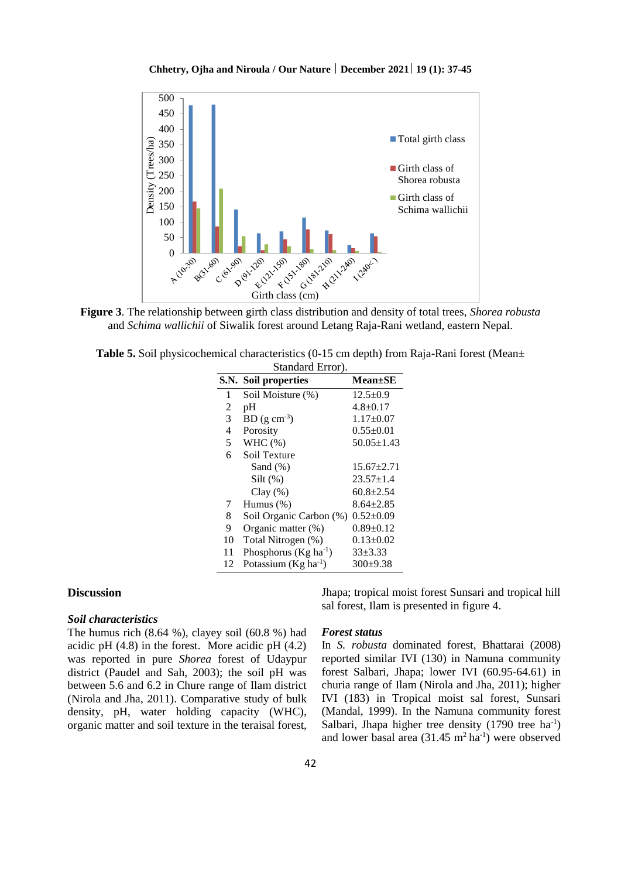

**Figure 3**. The relationship between girth class distribution and density of total trees, *Shorea robusta* and *Schima wallichii* of Siwalik forest around Letang Raja-Rani wetland, eastern Nepal.

**Table 5.** Soil physicochemical characteristics (0−15 cm depth) from Raja-Rani forest (Mean±  $\alpha$ ,  $\alpha$ ,  $\alpha$ 

|                | S.N. Soil properties                 | <b>Mean</b> ±SE  |
|----------------|--------------------------------------|------------------|
| 1              | Soil Moisture (%)                    | $12.5 \pm 0.9$   |
| $\overline{c}$ | pH                                   | $4.8 + 0.17$     |
| 3              | $BD (g cm-3)$                        | $1.17+0.07$      |
| 4              | Porosity                             | $0.55+0.01$      |
| 5              | WHC $(%)$                            | $50.05 \pm 1.43$ |
| 6              | Soil Texture                         |                  |
|                | Sand $(\%)$                          | $15.67 \pm 2.71$ |
|                | Silt $(\%)$                          | 23.57±1.4        |
|                | Clay(%)                              | $60.8 + 2.54$    |
| 7              | Humus (%)                            | $8.64 \pm 2.85$  |
| 8              | Soil Organic Carbon (%)              | $0.52 \pm 0.09$  |
| 9              | Organic matter (%)                   | $0.89 + 0.12$    |
| 10             | Total Nitrogen (%)                   | $0.13 \pm 0.02$  |
| 11             | Phosphorus ( $Kg$ ha <sup>-1</sup> ) | $33 + 3.33$      |
| 12             | Potassium ( $Kg$ ha <sup>-1</sup> )  | $300+9.38$       |

# **Discussion**

### *Soil characteristics*

The humus rich (8.64 %), clayey soil (60.8 %) had acidic pH (4.8) in the forest. More acidic pH (4.2) was reported in pure *Shorea* forest of Udaypur district (Paudel and Sah, 2003); the soil pH was between 5.6 and 6.2 in Chure range of Ilam district (Nirola and Jha, 2011). Comparative study of bulk density, pH, water holding capacity (WHC), organic matter and soil texture in the teraisal forest,

#### *Forest status*

In *S. robusta* dominated forest, Bhattarai (2008) reported similar IVI (130) in Namuna community forest Salbari, Jhapa; lower IVI (60.95-64.61) in churia range of Ilam (Nirola and Jha, 2011); higher IVI (183) in Tropical moist sal forest, Sunsari (Mandal, 1999). In the Namuna community forest Salbari, Jhapa higher tree density (1790 tree ha<sup>-1</sup>) and lower basal area  $(31.45 \text{ m}^2 \text{ ha}^{-1})$  were observed

Jhapa; tropical moist forest Sunsari and tropical hill

sal forest, Ilam is presented in figure 4.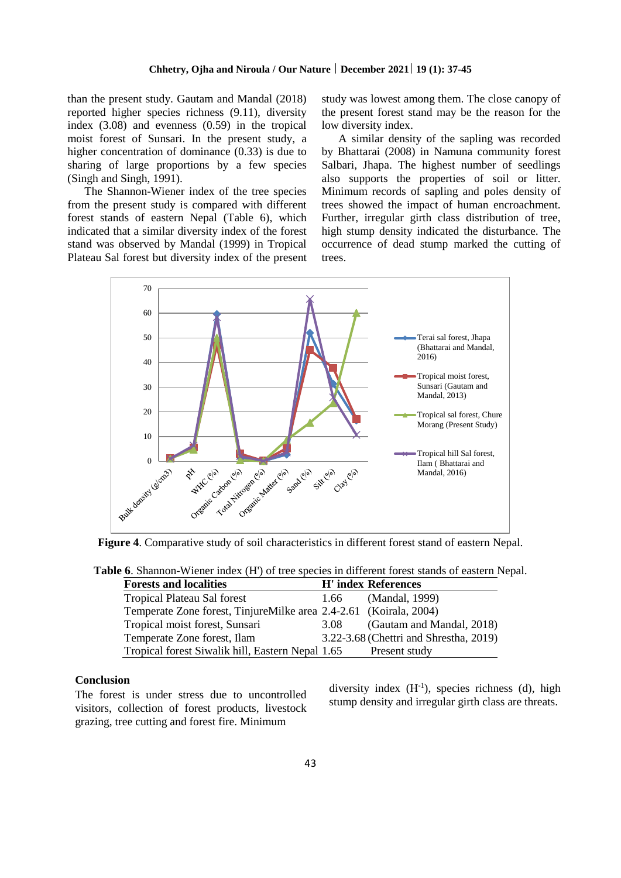than the present study. Gautam and Mandal (2018) reported higher species richness (9.11), diversity index (3.08) and evenness (0.59) in the tropical moist forest of Sunsari. In the present study, a higher concentration of dominance (0.33) is due to sharing of large proportions by a few species (Singh and Singh, 1991).

The Shannon-Wiener index of the tree species from the present study is compared with different forest stands of eastern Nepal (Table 6), which indicated that a similar diversity index of the forest stand was observed by Mandal (1999) in Tropical Plateau Sal forest but diversity index of the present study was lowest among them. The close canopy of the present forest stand may be the reason for the low diversity index.

A similar density of the sapling was recorded by Bhattarai (2008) in Namuna community forest Salbari, Jhapa. The highest number of seedlings also supports the properties of soil or litter. Minimum records of sapling and poles density of trees showed the impact of human encroachment. Further, irregular girth class distribution of tree, high stump density indicated the disturbance. The occurrence of dead stump marked the cutting of trees.



**Figure 4**. Comparative study of soil characteristics in different forest stand of eastern Nepal.

| <b>Forests and localities</b>                                     |      | H' index References                    |
|-------------------------------------------------------------------|------|----------------------------------------|
| <b>Tropical Plateau Sal forest</b>                                | 1.66 | (Mandal, 1999)                         |
| Temperate Zone forest, TinjureMilke area 2.4-2.61 (Koirala, 2004) |      |                                        |
| Tropical moist forest, Sunsari                                    | 3.08 | (Gautam and Mandal, 2018)              |
| Temperate Zone forest, Ilam                                       |      | 3.22-3.68 (Chettri and Shrestha, 2019) |
| Tropical forest Siwalik hill, Eastern Nepal 1.65                  |      | Present study                          |

# **Conclusion**

The forest is under stress due to uncontrolled visitors, collection of forest products, livestock grazing, tree cutting and forest fire. Minimum

diversity index (H<sup>-1</sup>), species richness (d), high stump density and irregular girth class are threats.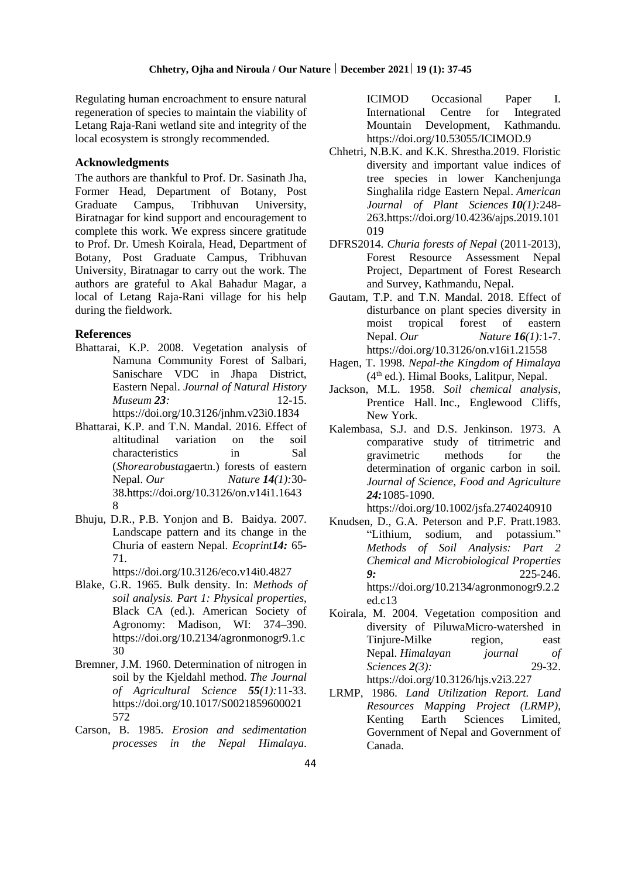Regulating human encroachment to ensure natural regeneration of species to maintain the viability of Letang Raja-Rani wetland site and integrity of the local ecosystem is strongly recommended.

### **Acknowledgments**

The authors are thankful to Prof. Dr. Sasinath Jha, Former Head, Department of Botany, Post Graduate Campus, Tribhuvan University, Biratnagar for kind support and encouragement to complete this work. We express sincere gratitude to Prof. Dr. Umesh Koirala, Head, Department of Botany, Post Graduate Campus, Tribhuvan University, Biratnagar to carry out the work. The authors are grateful to Akal Bahadur Magar, a local of Letang Raja-Rani village for his help during the fieldwork.

#### **References**

- Bhattarai, K.P. 2008. Vegetation analysis of Namuna Community Forest of Salbari, Sanischare VDC in Jhapa District, Eastern Nepal. *Journal of Natural History Museum 23:* 12-15. <https://doi.org/10.3126/jnhm.v23i0.1834>
- Bhattarai, K.P. and T.N. Mandal. 2016. Effect of altitudinal variation on the soil characteristics in Sal (*Shorearobusta*gaertn.) forests of eastern Nepal. *Our Nature 14(1):*30- 38[.https://doi.org/10.3126/on.v14i1.1643](https://doi.org/10.3126/on.v14i1.16438) [8](https://doi.org/10.3126/on.v14i1.16438)
- Bhuju, D.R., P.B. Yonjon and B. Baidya. 2007. Landscape pattern and its change in the Churia of eastern Nepal. *Ecoprint14:* 65- 71.

<https://doi.org/10.3126/eco.v14i0.4827>

- Blake, G.R. 1965. Bulk density. In: *Methods of soil analysis. Part 1: Physical properties*, Black CA (ed.). American Society of Agronomy: Madison, WI: 374–390. [https://doi.org/10.2134/agronmonogr9.1.c](https://doi.org/10.2134/agronmonogr9.1.c30) [30](https://doi.org/10.2134/agronmonogr9.1.c30)
- Bremner, J.M. 1960. Determination of nitrogen in soil by the Kjeldahl method. *The Journal of Agricultural Science 55(1):*11-33. [https://doi.org/10.1017/S0021859600021](https://doi.org/10.1017/S0021859600021572) [572](https://doi.org/10.1017/S0021859600021572)
- Carson, B. 1985. *Erosion and sedimentation processes in the Nepal Himalaya*.

ICIMOD Occasional Paper I. International Centre for Integrated Mountain Development, Kathmandu. <https://doi.org/10.53055/ICIMOD.9>

- Chhetri, N.B.K. and K.K. Shrestha.2019. Floristic diversity and important value indices of tree species in lower Kanchenjunga Singhalila ridge Eastern Nepal. *American Journal of Plant Sciences 10(1):*248- 263[.https://doi.org/10.4236/ajps.2019.101](https://doi.org/10.4236/ajps.2019.101019) [019](https://doi.org/10.4236/ajps.2019.101019)
- DFRS2014. *Churia forests of Nepal* (2011-2013), Forest Resource Assessment Nepal Project, Department of Forest Research and Survey, Kathmandu, Nepal.
- Gautam, T.P. and T.N. Mandal. 2018. Effect of disturbance on plant species diversity in moist tropical forest of eastern Nepal. *Our Nature 16(1):*1-7. <https://doi.org/10.3126/on.v16i1.21558>
- Hagen, T. 1998. *Nepal-the Kingdom of Himalaya*  $(4<sup>th</sup>$  ed.). Himal Books, Lalitpur, Nepal.
- Jackson, M.L. 1958. *Soil chemical analysis*, Prentice Hall. Inc., Englewood Cliffs, New York.
- Kalembasa, S.J. and D.S. Jenkinson. 1973. A comparative study of titrimetric and gravimetric methods for the determination of organic carbon in soil. *Journal of Science, Food and Agriculture 24:*1085-1090.
	- <https://doi.org/10.1002/jsfa.2740240910>
- Knudsen, D., G.A. Peterson and P.F. Pratt.1983. "Lithium, sodium, and potassium." *Methods of Soil Analysis: Part 2 Chemical and Microbiological Properties 9:* 225-246. [https://doi.org/10.2134/agronmonogr9.2.2](https://doi.org/10.2134/agronmonogr9.2.2ed.c13) [ed.c13](https://doi.org/10.2134/agronmonogr9.2.2ed.c13)
- Koirala, M. 2004. Vegetation composition and diversity of PiluwaMicro-watershed in Tinjure-Milke region, east Nepal. *Himalayan journal of Sciences 2(3):* 29-32. <https://doi.org/10.3126/hjs.v2i3.227>
- LRMP, 1986. *Land Utilization Report. Land Resources Mapping Project (LRMP)*, Kenting Earth Sciences Limited, Government of Nepal and Government of Canada.